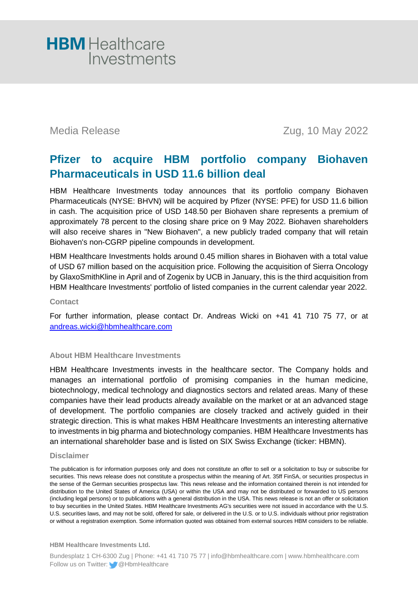

Media Release Zug, 10 May 2022

## **Pfizer to acquire HBM portfolio company Biohaven Pharmaceuticals in USD 11.6 billion deal**

HBM Healthcare Investments today announces that its portfolio company Biohaven Pharmaceuticals (NYSE: BHVN) will be acquired by Pfizer (NYSE: PFE) for USD 11.6 billion in cash. The acquisition price of USD 148.50 per Biohaven share represents a premium of approximately 78 percent to the closing share price on 9 May 2022. Biohaven shareholders will also receive shares in "New Biohaven", a new publicly traded company that will retain Biohaven's non-CGRP pipeline compounds in development.

HBM Healthcare Investments holds around 0.45 million shares in Biohaven with a total value of USD 67 million based on the acquisition price. Following the acquisition of Sierra Oncology by GlaxoSmithKline in April and of Zogenix by UCB in January, this is the third acquisition from HBM Healthcare Investments' portfolio of listed companies in the current calendar year 2022.

### **Contact**

For further information, please contact Dr. Andreas Wicki on +41 41 710 75 77, or at [andreas.wicki@hbmhealthcare.com](mailto:andreas.wicki@hbmhealthcare.com)

### **About HBM Healthcare Investments**

HBM Healthcare Investments invests in the healthcare sector. The Company holds and manages an international portfolio of promising companies in the human medicine, biotechnology, medical technology and diagnostics sectors and related areas. Many of these companies have their lead products already available on the market or at an advanced stage of development. The portfolio companies are closely tracked and actively guided in their strategic direction. This is what makes HBM Healthcare Investments an interesting alternative to investments in big pharma and biotechnology companies. HBM Healthcare Investments has an international shareholder base and is listed on SIX Swiss Exchange (ticker: HBMN).

### **Disclaimer**

The publication is for information purposes only and does not constitute an offer to sell or a solicitation to buy or subscribe for securities. This news release does not constitute a prospectus within the meaning of Art. 35ff FinSA, or securities prospectus in the sense of the German securities prospectus law. This news release and the information contained therein is not intended for distribution to the United States of America (USA) or within the USA and may not be distributed or forwarded to US persons (including legal persons) or to publications with a general distribution in the USA. This news release is not an offer or solicitation to buy securities in the United States. HBM Healthcare Investments AG's securities were not issued in accordance with the U.S. U.S. securities laws, and may not be sold, offered for sale, or delivered in the U.S. or to U.S. individuals without prior registration or without a registration exemption. Some information quoted was obtained from external sources HBM considers to be reliable.

**HBM Healthcare Investments Ltd.**